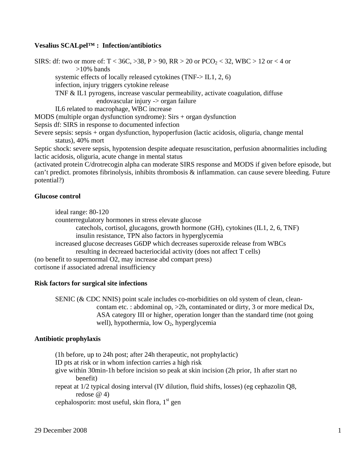# **Vesalius SCALpel™ : Infection/antibiotics**

SIRS: df: two or more of:  $T < 36C$ ,  $> 38$ ,  $P > 90$ ,  $RR > 20$  or  $PCO<sub>2</sub> < 32$ , WBC  $> 12$  or  $< 4$  or >10% bands systemic effects of locally released cytokines (TNF-> IL1, 2, 6) infection, injury triggers cytokine release TNF & IL1 pyrogens, increase vascular permeability, activate coagulation, diffuse endovascular injury -> organ failure IL6 related to macrophage, WBC increase MODS (multiple organ dysfunction syndrome): Sirs + organ dysfunction Sepsis df: SIRS in response to documented infection Severe sepsis: sepsis + organ dysfunction, hypoperfusion (lactic acidosis, oliguria, change mental status), 40% mort Septic shock: severe sepsis, hypotension despite adequate resuscitation, perfusion abnormalities including lactic acidosis, oliguria, acute change in mental status (activated protein C/drotrecogin alpha can moderate SIRS response and MODS if given before episode, but can't predict. promotes fibrinolysis, inhibits thrombosis & inflammation. can cause severe bleeding. Future

## **Glucose control**

potential?)

ideal range: 80-120

counterregulatory hormones in stress elevate glucose

 catechols, cortisol, glucagons, growth hormone (GH), cytokines (IL1, 2, 6, TNF) insulin resistance, TPN also factors in hyperglycemia

 increased glucose decreases G6DP which decreases superoxide release from WBCs resulting in decreaed bacteriocidal activity (does not affect T cells)

(no benefit to supernormal O2, may increase abd compart press) cortisone if associated adrenal insufficiency

## **Risk factors for surgical site infections**

 SENIC (& CDC NNIS) point scale includes co-morbidities on old system of clean, clean contam etc. : abdominal op, >2h, contaminated or dirty, 3 or more medical Dx, ASA category III or higher, operation longer than the standard time (not going well), hypothermia, low  $O_2$ , hyperglycemia

## **Antibiotic prophylaxis**

(1h before, up to 24h post; after 24h therapeutic, not prophylactic)

ID pts at risk or in whom infection carries a high risk

 give within 30min-1h before incision so peak at skin incision (2h prior, 1h after start no benefit)

 repeat at 1/2 typical dosing interval (IV dilution, fluid shifts, losses) (eg cephazolin Q8, redose  $\omega$  4)

cephalosporin: most useful, skin flora,  $1<sup>st</sup>$  gen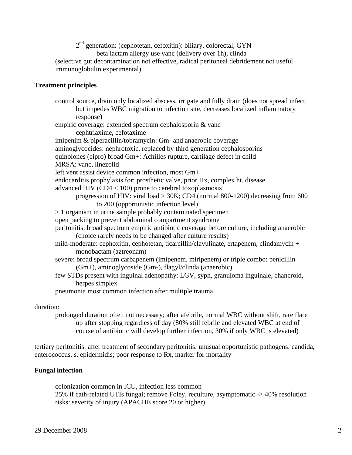2<sup>nd</sup> generation: (cephotetan, cefoxitin): biliary, colorectal, GYN beta lactam allergy use vanc (delivery over 1h), clinda (selective gut decontamination not effective, radical peritoneal debridement not useful, immunoglobulin experimental)

# **Treatment principles**

 control source, drain only localized abscess, irrigate and fully drain (does not spread infect, but impedes WBC migration to infection site, decreases localized inflammatory response) empiric coverage: extended spectrum cephalosporin & vanc cephtriaxime, cefotaxime imipenim & piperacillin/tobramycin: Gm- and anaerobic coverage aminoglycocides: nephrotoxic, replaced by third generation cephalosporins quinolones (cipro) broad Gm+: Achilles rupture, cartilage defect in child MRSA: vanc, linezolid left vent assist device common infection, most Gm+ endocarditis prophylaxis for: prosthetic valve, prior Hx, complex ht. disease advanced HIV (CD4 < 100) prone to cerebral toxoplasmosis progression of HIV: viral load > 30K; CD4 (normal 800-1200) decreasing from 600 to 200 (opportunistic infection level) > 1 organism in urine sample probably contaminated specimen open packing to prevent abdominal compartment syndrome peritonitis: broad spectrum empiric antibiotic coverage before culture, including anaerobic (choice rarely needs to be changed after culture results) mild-moderate: cephoxitin, cephotetan, ticarcillin/clavulinate, ertapenem, clindamycin + monobactam (aztreonam) severe: broad spectrum carbapenem (imipenem, miripenem) or triple combo: penicillin (Gm+), aminoglycoside (Gm-), flagyl/clinda (anaerobic) few STDs present with inguinal adenopathy: LGV, syph, granuloma inguinale, chancroid, herpes simplex pneumonia most common infection after multiple trauma

# duration:

 prolonged duration often not necessary; after afebrile, normal WBC without shift, rare flare up after stopping regardless of day (80% still febrile and elevated WBC at end of course of antibiotic will develop further infection, 30% if only WBC is elevated)

tertiary peritonitis: after treatment of secondary peritonitis: unusual opportunistic pathogens: candida, enterococcus, s. epidermidis; poor response to Rx, marker for mortality

# **Fungal infection**

 colonization common in ICU, infection less common 25% if cath-related UTIs fungal; remove Foley, reculture, asymptomatic -> 40% resolution risks: severity of injury (APACHE score 20 or higher)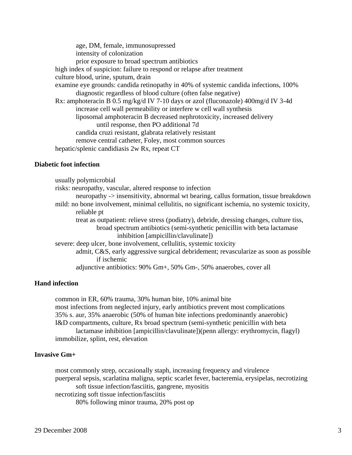age, DM, female, immunosupressed intensity of colonization prior exposure to broad spectrum antibiotics high index of suspicion: failure to respond or relapse after treatment culture blood, urine, sputum, drain examine eye grounds: candida retinopathy in 40% of systemic candida infections, 100% diagnostic regardless of blood culture (often false negative) Rx: amphoteracin B 0.5 mg/kg/d IV 7-10 days or azol (fluconazole) 400mg/d IV 3-4d increase cell wall permeability or interfere w cell wall synthesis liposomal amphoteracin B decreased nephrotoxicity, increased delivery until response, then PO additional 7d candida cruzi resistant, glabrata relatively resistant remove central catheter, Foley, most common sources hepatic/splenic candidiasis 2w Rx, repeat CT

## **Diabetic foot infection**

 usually polymicrobial risks: neuropathy, vascular, altered response to infection neuropathy -> insensitivity, abnormal wt bearing, callus formation, tissue breakdown mild: no bone involvement, minimal cellulitis, no significant ischemia, no systemic toxicity, reliable pt treat as outpatient: relieve stress (podiatry), debride, dressing changes, culture tiss, broad spectrum antibiotics (semi-synthetic penicillin with beta lactamase inhibition [ampicillin/clavulinate]) severe: deep ulcer, bone involvement, cellulitis, systemic toxicity admit, C&S, early aggressive surgical debridement; revascularize as soon as possible if ischemic adjunctive antibiotics: 90% Gm+, 50% Gm-, 50% anaerobes, cover all

# **Hand infection**

 common in ER, 60% trauma, 30% human bite, 10% animal bite most infections from neglected injury, early antibiotics prevent most complications 35% s. aur, 35% anaerobic (50% of human bite infections predominantly anaerobic) I&D compartments, culture, Rx broad spectrum (semi-synthetic penicillin with beta lactamase inhibition [ampicillin/clavulinate])(penn allergy: erythromycin, flagyl) immobilize, splint, rest, elevation

# **Invasive Gm+**

 most commonly strep, occasionally staph, increasing frequency and virulence puerperal sepsis, scarlatina maligna, septic scarlet fever, bacteremia, erysipelas, necrotizing soft tissue infection/fasciitis, gangrene, myositis necrotizing soft tissue infection/fasciitis 80% following minor trauma, 20% post op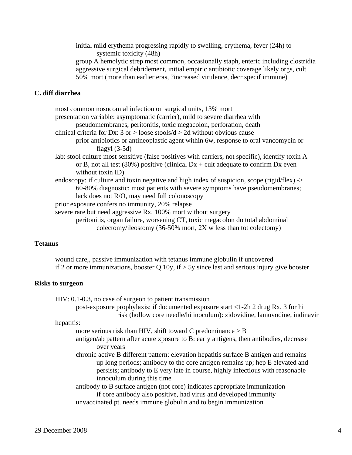initial mild erythema progressing rapidly to swelling, erythema, fever (24h) to systemic toxicity (48h) group A hemolytic strep most common, occasionally staph, enteric including clostridia

 aggressive surgical debridement, initial empiric antibiotic coverage likely orgs, cult 50% mort (more than earlier eras, ?increased virulence, decr specif immune)

# **C. diff diarrhea**

 most common nosocomial infection on surgical units, 13% mort presentation variable: asymptomatic (carrier), mild to severe diarrhea with pseudomembranes, peritonitis, toxic megacolon, perforation, death clinical criteria for Dx:  $3$  or  $>$  loose stools/d  $>$  2d without obvious cause prior antibiotics or antineoplastic agent within 6w, response to oral vancomycin or flagyl (3-5d) lab: stool culture most sensitive (false positives with carriers, not specific), identify toxin A or B, not all test (80%) positive (clinical  $Dx + \text{ cult}$  adequate to confirm Dx even without toxin ID) endoscopy: if culture and toxin negative and high index of suspicion, scope (rigid/flex) -> 60-80% diagnostic: most patients with severe symptoms have pseudomembranes; lack does not R/O, may need full colonoscopy prior exposure confers no immunity, 20% relapse severe rare but need aggressive Rx, 100% mort without surgery

 peritonitis, organ failure, worsening CT, toxic megacolon do total abdominal colectomy/ileostomy (36-50% mort, 2X w less than tot colectomy)

## **Tetanus**

 wound care,, passive immunization with tetanus immune globulin if uncovered if 2 or more immunizations, booster Q 10y, if  $>$  5y since last and serious injury give booster

### **Risks to surgeon**

HIV: 0.1-0.3, no case of surgeon to patient transmission

 post-exposure prophylaxis: if documented exposure start <1-2h 2 drug Rx, 3 for hi risk (hollow core needle/hi inoculum): zidovidine, lamuvodine, indinavir

#### hepatitis:

more serious risk than HIV, shift toward C predominance  $>$  B

- antigen/ab pattern after acute xposure to B: early antigens, then antibodies, decrease over years
- chronic active B different pattern: elevation hepatitis surface B antigen and remains up long periods; antibody to the core antigen remains up; hep E elevated and persists; antibody to E very late in course, highly infectious with reasonable innoculum during this time

 antibody to B surface antigen (not core) indicates appropriate immunization if core antibody also positive, had virus and developed immunity unvaccinated pt. needs immune globulin and to begin immunization